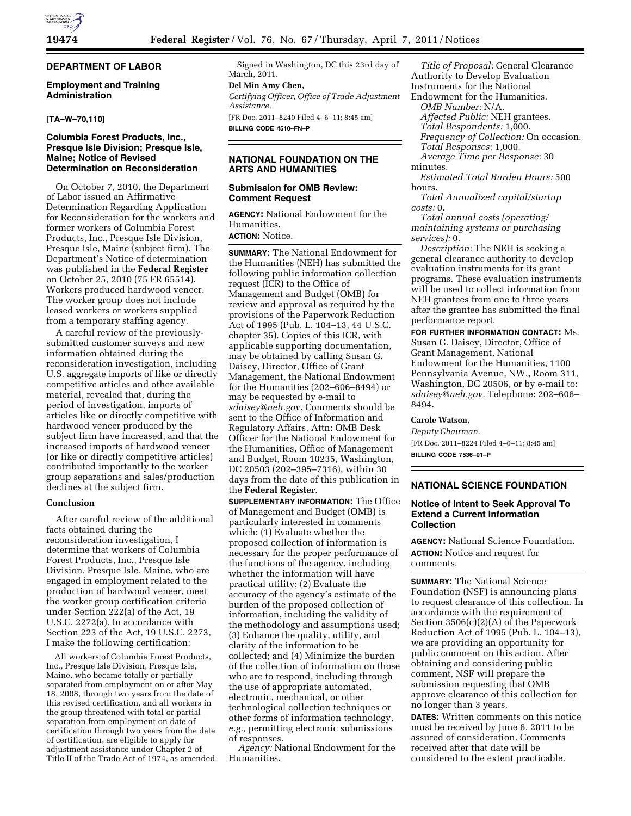# **DEPARTMENT OF LABOR**

## **Employment and Training Administration**

## **[TA–W–70,110]**

## **Columbia Forest Products, Inc., Presque Isle Division; Presque Isle, Maine; Notice of Revised Determination on Reconsideration**

On October 7, 2010, the Department of Labor issued an Affirmative Determination Regarding Application for Reconsideration for the workers and former workers of Columbia Forest Products, Inc., Presque Isle Division, Presque Isle, Maine (subject firm). The Department's Notice of determination was published in the **Federal Register**  on October 25, 2010 (75 FR 65514). Workers produced hardwood veneer. The worker group does not include leased workers or workers supplied from a temporary staffing agency.

A careful review of the previouslysubmitted customer surveys and new information obtained during the reconsideration investigation, including U.S. aggregate imports of like or directly competitive articles and other available material, revealed that, during the period of investigation, imports of articles like or directly competitive with hardwood veneer produced by the subject firm have increased, and that the increased imports of hardwood veneer (or like or directly competitive articles) contributed importantly to the worker group separations and sales/production declines at the subject firm.

## **Conclusion**

After careful review of the additional facts obtained during the reconsideration investigation, I determine that workers of Columbia Forest Products, Inc., Presque Isle Division, Presque Isle, Maine, who are engaged in employment related to the production of hardwood veneer, meet the worker group certification criteria under Section 222(a) of the Act, 19 U.S.C. 2272(a). In accordance with Section 223 of the Act, 19 U.S.C. 2273, I make the following certification:

All workers of Columbia Forest Products, Inc., Presque Isle Division, Presque Isle, Maine, who became totally or partially separated from employment on or after May 18, 2008, through two years from the date of this revised certification, and all workers in the group threatened with total or partial separation from employment on date of certification through two years from the date of certification, are eligible to apply for adjustment assistance under Chapter 2 of Title II of the Trade Act of 1974, as amended.

Signed in Washington, DC this 23rd day of March, 2011.

# **Del Min Amy Chen,**

*Certifying Officer, Office of Trade Adjustment Assistance.*  [FR Doc. 2011–8240 Filed 4–6–11; 8:45 am]

**BILLING CODE 4510–FN–P** 

## **NATIONAL FOUNDATION ON THE ARTS AND HUMANITIES**

# **Submission for OMB Review: Comment Request**

**AGENCY:** National Endowment for the Humanities.

# **ACTION:** Notice.

**SUMMARY:** The National Endowment for the Humanities (NEH) has submitted the following public information collection request (ICR) to the Office of Management and Budget (OMB) for review and approval as required by the provisions of the Paperwork Reduction Act of 1995 (Pub. L. 104–13, 44 U.S.C. chapter 35). Copies of this ICR, with applicable supporting documentation, may be obtained by calling Susan G. Daisey, Director, Office of Grant Management, the National Endowment for the Humanities (202–606–8494) or may be requested by e-mail to *[sdaisey@neh.gov.](mailto:sdaisey@neh.gov)* Comments should be sent to the Office of Information and Regulatory Affairs, Attn: OMB Desk Officer for the National Endowment for the Humanities, Office of Management and Budget, Room 10235, Washington, DC 20503 (202–395–7316), within 30 days from the date of this publication in the **Federal Register**.

**SUPPLEMENTARY INFORMATION:** The Office of Management and Budget (OMB) is particularly interested in comments which: (1) Evaluate whether the proposed collection of information is necessary for the proper performance of the functions of the agency, including whether the information will have practical utility; (2) Evaluate the accuracy of the agency's estimate of the burden of the proposed collection of information, including the validity of the methodology and assumptions used; (3) Enhance the quality, utility, and clarity of the information to be collected; and (4) Minimize the burden of the collection of information on those who are to respond, including through the use of appropriate automated, electronic, mechanical, or other technological collection techniques or other forms of information technology, *e.g.,* permitting electronic submissions of responses.

*Agency:* National Endowment for the Humanities.

*Title of Proposal:* General Clearance Authority to Develop Evaluation Instruments for the National Endowment for the Humanities. *OMB Number:* N/A. *Affected Public:* NEH grantees.

*Total Respondents:* 1,000.

*Frequency of Collection:* On occasion.

- *Total Responses:* 1,000. *Average Time per Response:* 30
- minutes. *Estimated Total Burden Hours:* 500
- hours.

*Total Annualized capital/startup costs:* 0.

*Total annual costs (operating/ maintaining systems or purchasing services):* 0.

*Description:* The NEH is seeking a general clearance authority to develop evaluation instruments for its grant programs. These evaluation instruments will be used to collect information from NEH grantees from one to three years after the grantee has submitted the final performance report.

**FOR FURTHER INFORMATION CONTACT:** Ms. Susan G. Daisey, Director, Office of Grant Management, National Endowment for the Humanities, 1100 Pennsylvania Avenue, NW., Room 311, Washington, DC 20506, or by e-mail to: *[sdaisey@neh.gov.](mailto:sdaisey@neh.gov)* Telephone: 202–606– 8494.

#### **Carole Watson,**

*Deputy Chairman.*  [FR Doc. 2011–8224 Filed 4–6–11; 8:45 am] **BILLING CODE 7536–01–P** 

# **NATIONAL SCIENCE FOUNDATION**

## **Notice of Intent to Seek Approval To Extend a Current Information Collection**

**AGENCY:** National Science Foundation. **ACTION:** Notice and request for comments.

**SUMMARY:** The National Science Foundation (NSF) is announcing plans to request clearance of this collection. In accordance with the requirement of Section 3506(c)(2)(A) of the Paperwork Reduction Act of 1995 (Pub. L. 104–13), we are providing an opportunity for public comment on this action. After obtaining and considering public comment, NSF will prepare the submission requesting that OMB approve clearance of this collection for no longer than 3 years.

**DATES:** Written comments on this notice must be received by June 6, 2011 to be assured of consideration. Comments received after that date will be considered to the extent practicable.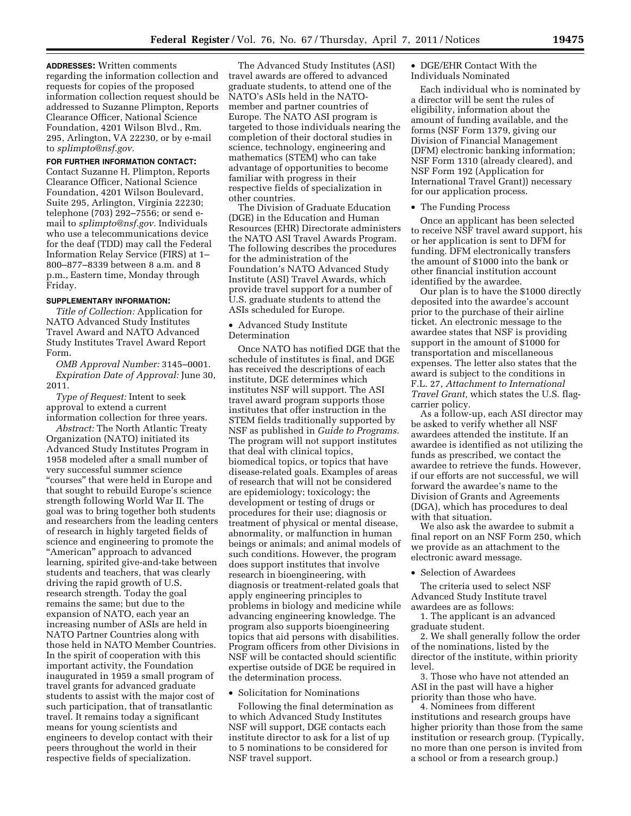**ADDRESSES:** Written comments regarding the information collection and requests for copies of the proposed information collection request should be addressed to Suzanne Plimpton, Reports Clearance Officer, National Science Foundation, 4201 Wilson Blvd., Rm. 295, Arlington, VA 22230, or by e-mail to *[splimpto@nsf.gov.](mailto:splimpto@nsf.gov)* 

#### **FOR FURTHER INFORMATION CONTACT:**

Contact Suzanne H. Plimpton, Reports Clearance Officer, National Science Foundation, 4201 Wilson Boulevard, Suite 295, Arlington, Virginia 22230; telephone (703) 292–7556; or send email to *[splimpto@nsf.gov.](mailto:splimpto@nsf.gov)* Individuals who use a telecommunications device for the deaf (TDD) may call the Federal Information Relay Service (FIRS) at 1– 800–877–8339 between 8 a.m. and 8 p.m., Eastern time, Monday through Friday.

#### **SUPPLEMENTARY INFORMATION:**

*Title of Collection:* Application for NATO Advanced Study Institutes Travel Award and NATO Advanced Study Institutes Travel Award Report Form.

*OMB Approval Number:* 3145–0001. *Expiration Date of Approval:* June 30, 2011.

*Type of Request:* Intent to seek approval to extend a current information collection for three years.

*Abstract:* The North Atlantic Treaty Organization (NATO) initiated its Advanced Study Institutes Program in 1958 modeled after a small number of very successful summer science "courses" that were held in Europe and that sought to rebuild Europe's science strength following World War II. The goal was to bring together both students and researchers from the leading centers of research in highly targeted fields of science and engineering to promote the ''American'' approach to advanced learning, spirited give-and-take between students and teachers, that was clearly driving the rapid growth of U.S. research strength. Today the goal remains the same; but due to the expansion of NATO, each year an increasing number of ASIs are held in NATO Partner Countries along with those held in NATO Member Countries. In the spirit of cooperation with this important activity, the Foundation inaugurated in 1959 a small program of travel grants for advanced graduate students to assist with the major cost of such participation, that of transatlantic travel. It remains today a significant means for young scientists and engineers to develop contact with their peers throughout the world in their respective fields of specialization.

The Advanced Study Institutes (ASI) travel awards are offered to advanced graduate students, to attend one of the NATO's ASIs held in the NATOmember and partner countries of Europe. The NATO ASI program is targeted to those individuals nearing the completion of their doctoral studies in science, technology, engineering and mathematics (STEM) who can take advantage of opportunities to become familiar with progress in their respective fields of specialization in other countries.

The Division of Graduate Education (DGE) in the Education and Human Resources (EHR) Directorate administers the NATO ASI Travel Awards Program. The following describes the procedures for the administration of the Foundation's NATO Advanced Study Institute (ASI) Travel Awards, which provide travel support for a number of U.S. graduate students to attend the ASIs scheduled for Europe.

#### • Advanced Study Institute Determination

Once NATO has notified DGE that the schedule of institutes is final, and DGE has received the descriptions of each institute, DGE determines which institutes NSF will support. The ASI travel award program supports those institutes that offer instruction in the STEM fields traditionally supported by NSF as published in *Guide to Programs.*  The program will not support institutes that deal with clinical topics, biomedical topics, or topics that have disease-related goals. Examples of areas of research that will not be considered are epidemiology; toxicology; the development or testing of drugs or procedures for their use; diagnosis or treatment of physical or mental disease, abnormality, or malfunction in human beings or animals; and animal models of such conditions. However, the program does support institutes that involve research in bioengineering, with diagnosis or treatment-related goals that apply engineering principles to problems in biology and medicine while advancing engineering knowledge. The program also supports bioengineering topics that aid persons with disabilities. Program officers from other Divisions in NSF will be contacted should scientific expertise outside of DGE be required in the determination process.

## • Solicitation for Nominations

Following the final determination as to which Advanced Study Institutes NSF will support, DGE contacts each institute director to ask for a list of up to 5 nominations to be considered for NSF travel support.

#### • DGE/EHR Contact With the Individuals Nominated

Each individual who is nominated by a director will be sent the rules of eligibility, information about the amount of funding available, and the forms (NSF Form 1379, giving our Division of Financial Management (DFM) electronic banking information; NSF Form 1310 (already cleared), and NSF Form 192 (Application for International Travel Grant)) necessary for our application process.

#### • The Funding Process

Once an applicant has been selected to receive NSF travel award support, his or her application is sent to DFM for funding. DFM electronically transfers the amount of \$1000 into the bank or other financial institution account identified by the awardee.

Our plan is to have the \$1000 directly deposited into the awardee's account prior to the purchase of their airline ticket. An electronic message to the awardee states that NSF is providing support in the amount of \$1000 for transportation and miscellaneous expenses. The letter also states that the award is subject to the conditions in F.L. 27, *Attachment to International Travel Grant,* which states the U.S. flagcarrier policy.

As a follow-up, each ASI director may be asked to verify whether all NSF awardees attended the institute. If an awardee is identified as not utilizing the funds as prescribed, we contact the awardee to retrieve the funds. However, if our efforts are not successful, we will forward the awardee's name to the Division of Grants and Agreements (DGA), which has procedures to deal with that situation.

We also ask the awardee to submit a final report on an NSF Form 250, which we provide as an attachment to the electronic award message.

• Selection of Awardees

The criteria used to select NSF Advanced Study Institute travel awardees are as follows:

1. The applicant is an advanced graduate student.

2. We shall generally follow the order of the nominations, listed by the director of the institute, within priority level.

3. Those who have not attended an ASI in the past will have a higher priority than those who have.

4. Nominees from different institutions and research groups have higher priority than those from the same institution or research group. (Typically, no more than one person is invited from a school or from a research group.)